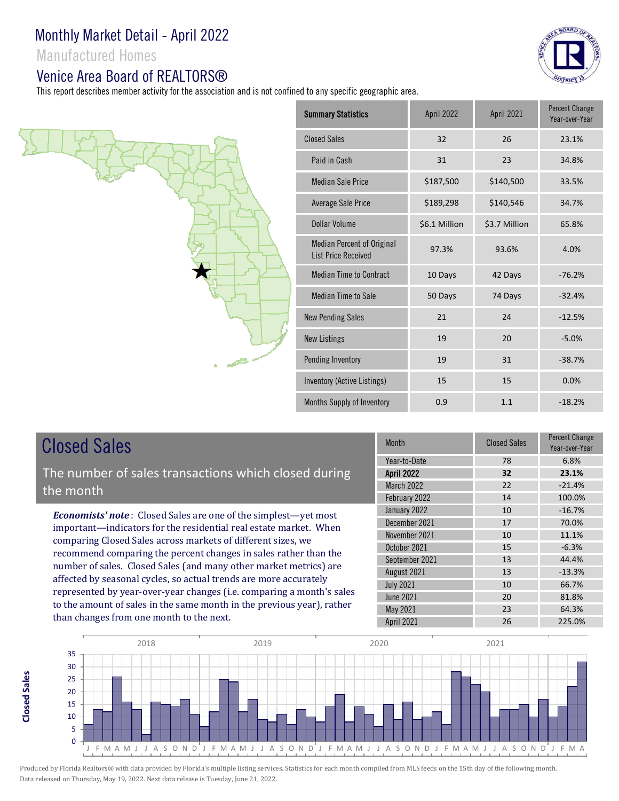Manufactured Homes

#### Venice Area Board of REALTORS®

This report describes member activity for the association and is not confined to any specific geographic area.





# Closed Sales

**Closed SalesClosed Sales**  The number of sales transactions which closed during the month

*Economists' note* : Closed Sales are one of the simplest—yet most important—indicators for the residential real estate market. When comparing Closed Sales across markets of different sizes, we recommend comparing the percent changes in sales rather than the number of sales. Closed Sales (and many other market metrics) are affected by seasonal cycles, so actual trends are more accurately represented by year-over-year changes (i.e. comparing a month's sales to the amount of sales in the same month in the previous year), rather than changes from one month to the next.

| <b>Month</b>      | <b>Closed Sales</b> | Percent Change<br>Year-over-Year |
|-------------------|---------------------|----------------------------------|
| Year-to-Date      | 78                  | 6.8%                             |
| <b>April 2022</b> | 32                  | 23.1%                            |
| March 2022        | 22                  | $-21.4%$                         |
| February 2022     | 14                  | 100.0%                           |
| January 2022      | 10                  | $-16.7%$                         |
| December 2021     | 17                  | 70.0%                            |
| November 2021     | 10                  | 11.1%                            |
| October 2021      | 15                  | $-6.3%$                          |
| September 2021    | 13                  | 44.4%                            |
| August 2021       | 13                  | $-13.3%$                         |
| <b>July 2021</b>  | 10                  | 66.7%                            |
| <b>June 2021</b>  | 20                  | 81.8%                            |
| May 2021          | 23                  | 64.3%                            |
| <b>April 2021</b> | 26                  | 225.0%                           |

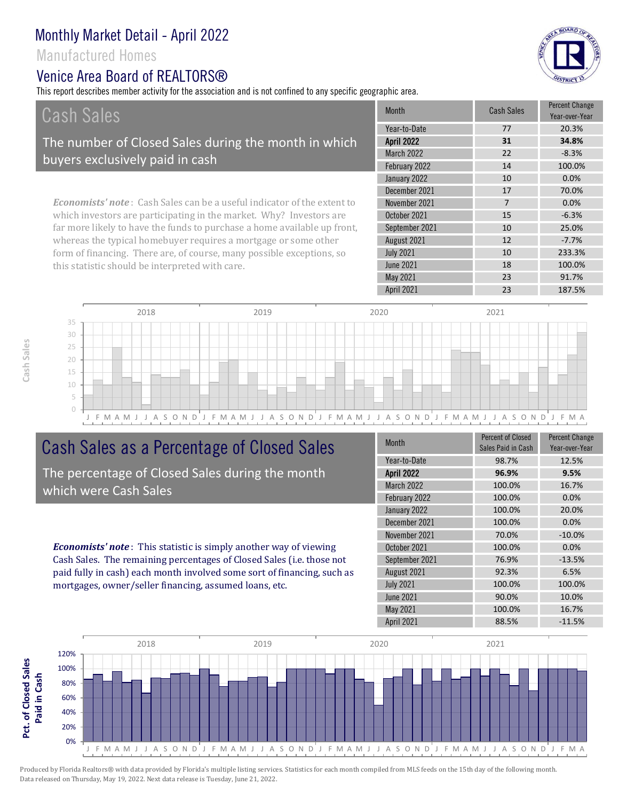### Manufactured Homes

#### Venice Area Board of REALTORS®

this statistic should be interpreted with care.

This report describes member activity for the association and is not confined to any specific geographic area.



| Cash Sales                                                                     | Month             | <b>Cash Sales</b> | <b>Percent Change</b><br>Year-over-Year |
|--------------------------------------------------------------------------------|-------------------|-------------------|-----------------------------------------|
|                                                                                | Year-to-Date      | 77                | 20.3%                                   |
| The number of Closed Sales during the month in which                           | <b>April 2022</b> | 31                | 34.8%                                   |
| buyers exclusively paid in cash                                                | March 2022        | 22                | $-8.3%$                                 |
|                                                                                | February 2022     | 14                | 100.0%                                  |
|                                                                                | January 2022      | 10                | 0.0%                                    |
|                                                                                | December 2021     | 17                | 70.0%                                   |
| <b>Economists' note:</b> Cash Sales can be a useful indicator of the extent to | November 2021     |                   | 0.0%                                    |
| which investors are participating in the market. Why? Investors are            | October 2021      | 15                | $-6.3%$                                 |
| far more likely to have the funds to purchase a home available up front,       | September 2021    | 10                | 25.0%                                   |
| whereas the typical homebuyer requires a mortgage or some other                | August 2021       | 12                | $-7.7\%$                                |
| form of financing. There are, of course, many possible exceptions, so          | <b>July 2021</b>  | 10                | 233.3%                                  |



# Cash Sales as a Percentage of Closed Sales

The percentage of Closed Sales during the month which were Cash Sales

*Economists' note* : This statistic is simply another way of viewing Cash Sales. The remaining percentages of Closed Sales (i.e. those not paid fully in cash) each month involved some sort of financing, such as mortgages, owner/seller financing, assumed loans, etc.

| Month             | <b>Percent of Closed</b><br>Sales Paid in Cash | <b>Percent Change</b><br>Year-over-Year |
|-------------------|------------------------------------------------|-----------------------------------------|
| Year-to-Date      | 98.7%                                          | 12.5%                                   |
| <b>April 2022</b> | 96.9%                                          | 9.5%                                    |
| March 2022        | 100.0%                                         | 16.7%                                   |
| February 2022     | 100.0%                                         | 0.0%                                    |
| January 2022      | 100.0%                                         | 20.0%                                   |
| December 2021     | 100.0%                                         | 0.0%                                    |
| November 2021     | 70.0%                                          | $-10.0%$                                |
| October 2021      | 100.0%                                         | 0.0%                                    |
| September 2021    | 76.9%                                          | $-13.5%$                                |
| August 2021       | 92.3%                                          | 6.5%                                    |
| <b>July 2021</b>  | 100.0%                                         | 100.0%                                  |
| <b>June 2021</b>  | 90.0%                                          | 10.0%                                   |
| <b>May 2021</b>   | 100.0%                                         | 16.7%                                   |
| April 2021        | 88.5%                                          | $-11.5%$                                |

April 2021 23 23 187.5%

May 2021 23 91.7%

18 100.0%

June 2021

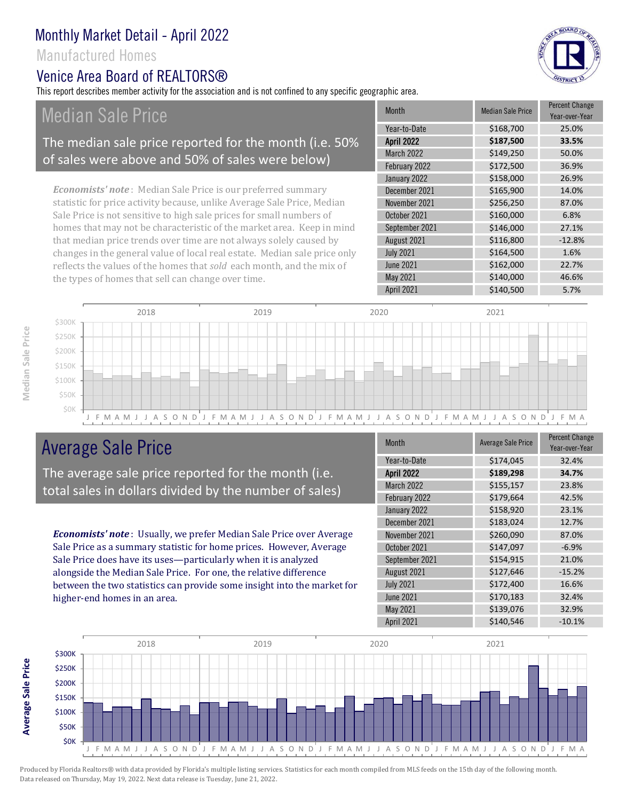#### Manufactured Homes

#### Venice Area Board of RFAI TORS®

This report describes member activity for the association and is not confined to any specific geographic area.

# Median Sale Price

#### The median sale price reported for the month (i.e. 50% of sales were above and 50% of sales were below)

*Economists' note* : Median Sale Price is our preferred summary statistic for price activity because, unlike Average Sale Price, Median Sale Price is not sensitive to high sale prices for small numbers of homes that may not be characteristic of the market area. Keep in mind that median price trends over time are not always solely caused by changes in the general value of local real estate. Median sale price only reflects the values of the homes that *sold* each month, and the mix of the types of homes that sell can change over time.

| <b>Month</b>      | <b>Median Sale Price</b> | <b>Percent Change</b><br>Year-over-Year |
|-------------------|--------------------------|-----------------------------------------|
| Year-to-Date      | \$168,700                | 25.0%                                   |
| <b>April 2022</b> | \$187,500                | 33.5%                                   |
| <b>March 2022</b> | \$149,250                | 50.0%                                   |
| February 2022     | \$172,500                | 36.9%                                   |
| January 2022      | \$158,000                | 26.9%                                   |
| December 2021     | \$165,900                | 14.0%                                   |
| November 2021     | \$256,250                | 87.0%                                   |
| October 2021      | \$160,000                | 6.8%                                    |
| September 2021    | \$146,000                | 27.1%                                   |
| August 2021       | \$116,800                | $-12.8%$                                |
| <b>July 2021</b>  | \$164,500                | 1.6%                                    |
| <b>June 2021</b>  | \$162,000                | 22.7%                                   |
| May 2021          | \$140,000                | 46.6%                                   |
| <b>April 2021</b> | \$140,500                | 5.7%                                    |



# Average Sale Price

The average sale price reported for the month (i.e. total sales in dollars divided by the number of sales)

*Economists' note* : Usually, we prefer Median Sale Price over Average Sale Price as a summary statistic for home prices. However, Average Sale Price does have its uses—particularly when it is analyzed alongside the Median Sale Price. For one, the relative difference between the two statistics can provide some insight into the market for higher-end homes in an area.

| <b>Month</b>      | <b>Average Sale Price</b> | <b>Percent Change</b><br>Year-over-Year |
|-------------------|---------------------------|-----------------------------------------|
| Year-to-Date      | \$174,045                 | 32.4%                                   |
| <b>April 2022</b> | \$189,298                 | 34.7%                                   |
| March 2022        | \$155,157                 | 23.8%                                   |
| February 2022     | \$179,664                 | 42.5%                                   |
| January 2022      | \$158,920                 | 23.1%                                   |
| December 2021     | \$183,024                 | 12.7%                                   |
| November 2021     | \$260,090                 | 87.0%                                   |
| October 2021      | \$147,097                 | $-6.9%$                                 |
| September 2021    | \$154,915                 | 21.0%                                   |
| August 2021       | \$127,646                 | $-15.2%$                                |
| <b>July 2021</b>  | \$172,400                 | 16.6%                                   |
| <b>June 2021</b>  | \$170,183                 | 32.4%                                   |
| May 2021          | \$139,076                 | 32.9%                                   |
| <b>April 2021</b> | \$140,546                 | $-10.1%$                                |



Produced by Florida Realtors® with data provided by Florida's multiple listing services. Statistics for each month compiled from MLS feeds on the 15th day of the following month. Data released on Thursday, May 19, 2022. Next data release is Tuesday, June 21, 2022.

**Average Sale Price**

Average Sale Price

BOARD OF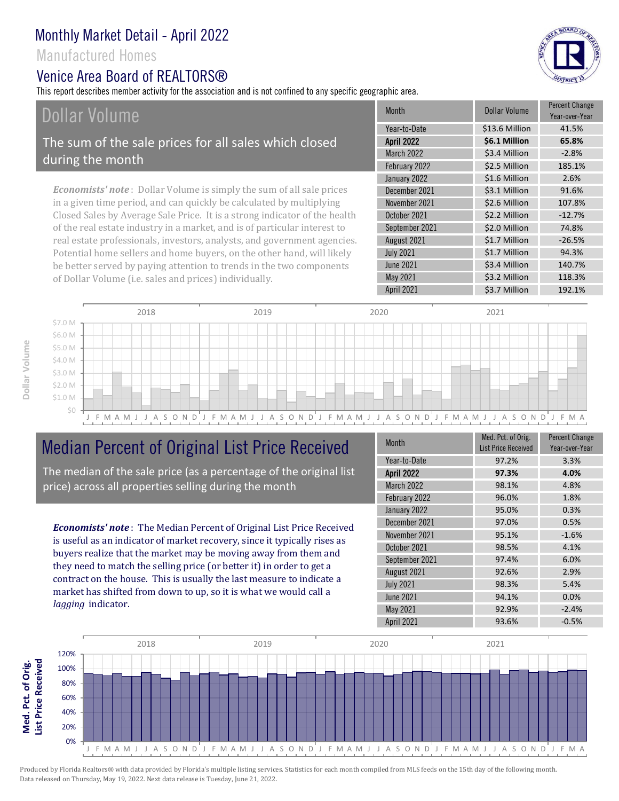#### Manufactured Homes

#### Venice Area Board of RFAI TORS®

This report describes member activity for the association and is not confined to any specific geographic area.

# Dollar Volume

The sum of the sale prices for all sales which closed during the month

*Economists' note* : Dollar Volume is simply the sum of all sale prices in a given time period, and can quickly be calculated by multiplying Closed Sales by Average Sale Price. It is a strong indicator of the health of the real estate industry in a market, and is of particular interest to real estate professionals, investors, analysts, and government agencies. Potential home sellers and home buyers, on the other hand, will likely be better served by paying attention to trends in the two components of Dollar Volume (i.e. sales and prices) individually.

| <b>Month</b>      | Dollar Volume  | <b>Percent Change</b><br>Year-over-Year |
|-------------------|----------------|-----------------------------------------|
| Year-to-Date      | \$13.6 Million | 41.5%                                   |
| <b>April 2022</b> | \$6.1 Million  | 65.8%                                   |
| <b>March 2022</b> | \$3.4 Million  | $-2.8%$                                 |
| February 2022     | \$2.5 Million  | 185.1%                                  |
| January 2022      | \$1.6 Million  | 2.6%                                    |
| December 2021     | \$3.1 Million  | 91.6%                                   |
| November 2021     | \$2.6 Million  | 107.8%                                  |
| October 2021      | \$2.2 Million  | $-12.7%$                                |
| September 2021    | \$2.0 Million  | 74.8%                                   |
| August 2021       | \$1.7 Million  | $-26.5%$                                |
| <b>July 2021</b>  | \$1.7 Million  | 94.3%                                   |
| <b>June 2021</b>  | \$3.4 Million  | 140.7%                                  |
| May 2021          | \$3.2 Million  | 118.3%                                  |
| April 2021        | \$3.7 Million  | 192.1%                                  |



# Median Percent of Original List Price Received

The median of the sale price (as a percentage of the original list price) across all properties selling during the month

*Economists' note* : The Median Percent of Original List Price Received is useful as an indicator of market recovery, since it typically rises as buyers realize that the market may be moving away from them and they need to match the selling price (or better it) in order to get a contract on the house. This is usually the last measure to indicate a market has shifted from down to up, so it is what we would call a *lagging* indicator.

| <b>Month</b>      | Med. Pct. of Orig.<br><b>List Price Received</b> | <b>Percent Change</b><br>Year-over-Year |
|-------------------|--------------------------------------------------|-----------------------------------------|
| Year-to-Date      | 97.2%                                            | 3.3%                                    |
| <b>April 2022</b> | 97.3%                                            | 4.0%                                    |
| March 2022        | 98.1%                                            | 4.8%                                    |
| February 2022     | 96.0%                                            | 1.8%                                    |
| January 2022      | 95.0%                                            | 0.3%                                    |
| December 2021     | 97.0%                                            | 0.5%                                    |
| November 2021     | 95.1%                                            | $-1.6%$                                 |
| October 2021      | 98.5%                                            | 4.1%                                    |
| September 2021    | 97.4%                                            | 6.0%                                    |
| August 2021       | 92.6%                                            | 2.9%                                    |
| <b>July 2021</b>  | 98.3%                                            | 5.4%                                    |
| <b>June 2021</b>  | 94.1%                                            | 0.0%                                    |
| May 2021          | 92.9%                                            | $-2.4%$                                 |
| April 2021        | 93.6%                                            | $-0.5%$                                 |



**Med. Pct. of Orig.**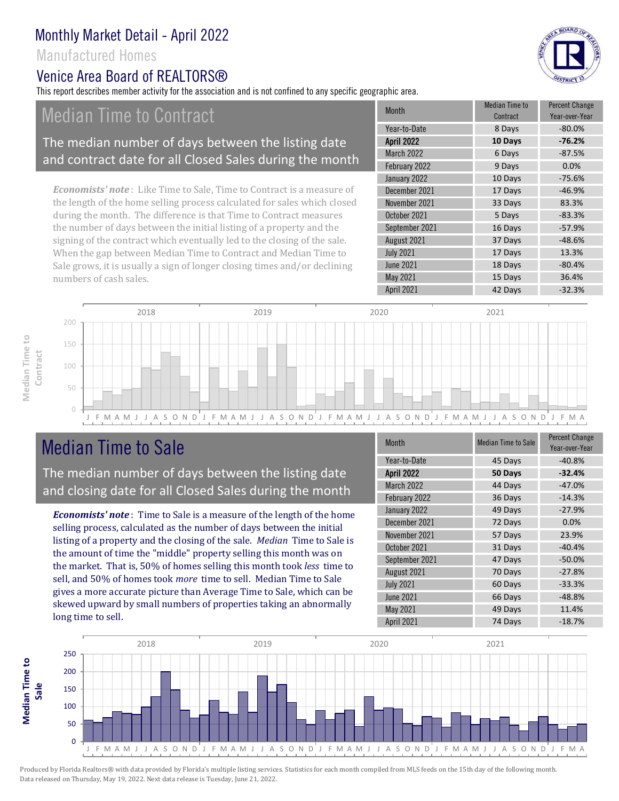#### Manufactured Homes

#### Venice Area Board of RFAI TORS®

This report describes member activity for the association and is not confined to any specific geographic area.

# Median Time to Contract

#### The median number of days between the listing date and contract date for all Closed Sales during the month

*Economists' note* : Like Time to Sale, Time to Contract is a measure of the length of the home selling process calculated for sales which closed during the month. The difference is that Time to Contract measures the number of days between the initial listing of a property and the signing of the contract which eventually led to the closing of the sale. When the gap between Median Time to Contract and Median Time to Sale grows, it is usually a sign of longer closing times and/or declining numbers of cash sales.

| $-80.0%$<br>Year-to-Date<br>8 Days<br><b>April 2022</b><br>$-76.2%$<br>10 Days<br><b>March 2022</b><br>6 Days<br>$-87.5%$<br>February 2022<br>0.0%<br>9 Days<br>January 2022<br>10 Days<br>$-75.6%$<br>December 2021<br>$-46.9%$<br>17 Days<br>November 2021<br>33 Days<br>83.3%<br>October 2021<br>$-83.3%$<br>5 Days<br>$-57.9%$<br>September 2021<br>16 Days<br>August 2021<br>37 Days<br>$-48.6%$<br><b>July 2021</b><br>17 Days<br>13.3%<br><b>June 2021</b><br>$-80.4%$<br>18 Days<br>May 2021<br>15 Days<br>36.4%<br><b>April 2021</b><br>$-32.3%$<br>42 Days | <b>Month</b> | <b>Median Time to</b><br>Contract | <b>Percent Change</b><br>Year-over-Year |
|----------------------------------------------------------------------------------------------------------------------------------------------------------------------------------------------------------------------------------------------------------------------------------------------------------------------------------------------------------------------------------------------------------------------------------------------------------------------------------------------------------------------------------------------------------------------|--------------|-----------------------------------|-----------------------------------------|
|                                                                                                                                                                                                                                                                                                                                                                                                                                                                                                                                                                      |              |                                   |                                         |
|                                                                                                                                                                                                                                                                                                                                                                                                                                                                                                                                                                      |              |                                   |                                         |
|                                                                                                                                                                                                                                                                                                                                                                                                                                                                                                                                                                      |              |                                   |                                         |
|                                                                                                                                                                                                                                                                                                                                                                                                                                                                                                                                                                      |              |                                   |                                         |
|                                                                                                                                                                                                                                                                                                                                                                                                                                                                                                                                                                      |              |                                   |                                         |
|                                                                                                                                                                                                                                                                                                                                                                                                                                                                                                                                                                      |              |                                   |                                         |
|                                                                                                                                                                                                                                                                                                                                                                                                                                                                                                                                                                      |              |                                   |                                         |
|                                                                                                                                                                                                                                                                                                                                                                                                                                                                                                                                                                      |              |                                   |                                         |
|                                                                                                                                                                                                                                                                                                                                                                                                                                                                                                                                                                      |              |                                   |                                         |
|                                                                                                                                                                                                                                                                                                                                                                                                                                                                                                                                                                      |              |                                   |                                         |
|                                                                                                                                                                                                                                                                                                                                                                                                                                                                                                                                                                      |              |                                   |                                         |
|                                                                                                                                                                                                                                                                                                                                                                                                                                                                                                                                                                      |              |                                   |                                         |
|                                                                                                                                                                                                                                                                                                                                                                                                                                                                                                                                                                      |              |                                   |                                         |
|                                                                                                                                                                                                                                                                                                                                                                                                                                                                                                                                                                      |              |                                   |                                         |



# Median Time to Sale

**Median Time to** 

Median Time to

The median number of days between the listing date and closing date for all Closed Sales during the month

*Economists' note* : Time to Sale is a measure of the length of the home selling process, calculated as the number of days between the initial listing of a property and the closing of the sale. *Median* Time to Sale is the amount of time the "middle" property selling this month was on the market. That is, 50% of homes selling this month took *less* time to sell, and 50% of homes took *more* time to sell. Median Time to Sale gives a more accurate picture than Average Time to Sale, which can be skewed upward by small numbers of properties taking an abnormally long time to sell.

| Month             | <b>Median Time to Sale</b> | <b>Percent Change</b><br>Year-over-Year |
|-------------------|----------------------------|-----------------------------------------|
| Year-to-Date      | 45 Days                    | $-40.8%$                                |
| <b>April 2022</b> | 50 Days                    | $-32.4%$                                |
| <b>March 2022</b> | 44 Days                    | $-47.0%$                                |
| February 2022     | 36 Days                    | $-14.3%$                                |
| January 2022      | 49 Days                    | $-27.9%$                                |
| December 2021     | 72 Days                    | 0.0%                                    |
| November 2021     | 57 Days                    | 23.9%                                   |
| October 2021      | 31 Days                    | $-40.4%$                                |
| September 2021    | 47 Days                    | $-50.0%$                                |
| August 2021       | 70 Days                    | $-27.8%$                                |
| <b>July 2021</b>  | 60 Days                    | $-33.3%$                                |
| <b>June 2021</b>  | 66 Days                    | $-48.8%$                                |
| May 2021          | 49 Days                    | 11.4%                                   |
| April 2021        | 74 Days                    | $-18.7%$                                |



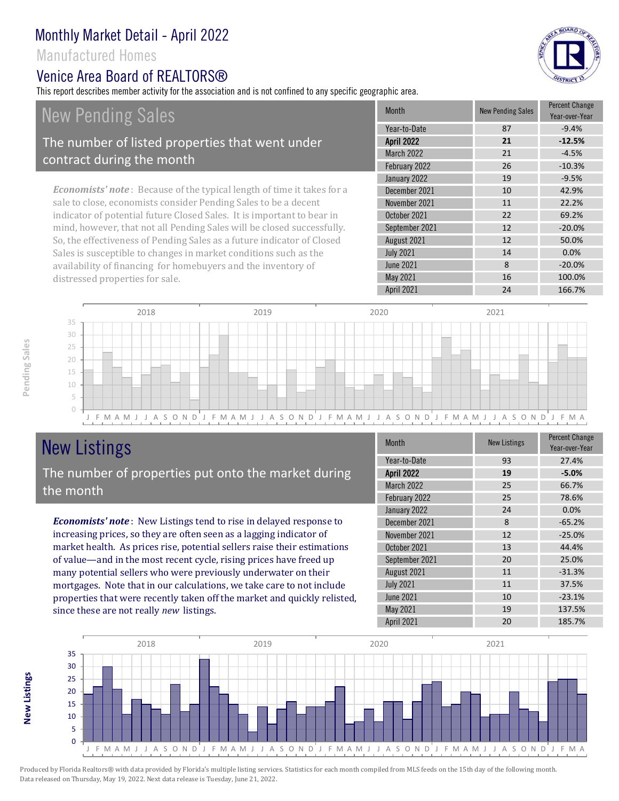#### Manufactured Homes

#### Venice Area Board of REALTORS®

This report describes member activity for the association and is not confined to any specific geographic area.



New Pending Sales The number of listed properties that went under contract during the month

*Economists' note* : Because of the typical length of time it takes for a sale to close, economists consider Pending Sales to be a decent indicator of potential future Closed Sales. It is important to bear in mind, however, that not all Pending Sales will be closed successfully. So, the effectiveness of Pending Sales as a future indicator of Closed Sales is susceptible to changes in market conditions such as the availability of financing for homebuyers and the inventory of distressed properties for sale.

|  | <b>Month</b>      | <b>New Pending Sales</b> | <b>Percent Change</b><br>Year-over-Year |
|--|-------------------|--------------------------|-----------------------------------------|
|  | Year-to-Date      | 87                       | $-9.4%$                                 |
|  | <b>April 2022</b> | 21                       | $-12.5%$                                |
|  | <b>March 2022</b> | 21                       | $-4.5%$                                 |
|  | February 2022     | 26                       | $-10.3%$                                |
|  | January 2022      | 19                       | $-9.5%$                                 |
|  | December 2021     | 10                       | 42.9%                                   |
|  | November 2021     | 11                       | 22.2%                                   |
|  | October 2021      | 22                       | 69.2%                                   |
|  | September 2021    | 12                       | $-20.0%$                                |
|  | August 2021       | 12                       | 50.0%                                   |
|  | <b>July 2021</b>  | 14                       | 0.0%                                    |
|  | <b>June 2021</b>  | 8                        | $-20.0%$                                |
|  | May 2021          | 16                       | 100.0%                                  |
|  | April 2021        | 24                       | 166.7%                                  |



## New Listings The number of properties put onto the market during the month

*Economists' note* : New Listings tend to rise in delayed response to increasing prices, so they are often seen as a lagging indicator of market health. As prices rise, potential sellers raise their estimations of value—and in the most recent cycle, rising prices have freed up many potential sellers who were previously underwater on their mortgages. Note that in our calculations, we take care to not include properties that were recently taken off the market and quickly relisted, since these are not really *new* listings.

| Month             | <b>New Listings</b> | <b>Percent Change</b><br>Year-over-Year |
|-------------------|---------------------|-----------------------------------------|
| Year-to-Date      | 93                  | 27.4%                                   |
| <b>April 2022</b> | 19                  | $-5.0%$                                 |
| <b>March 2022</b> | 25                  | 66.7%                                   |
| February 2022     | 25                  | 78.6%                                   |
| January 2022      | 24                  | 0.0%                                    |
| December 2021     | 8                   | $-65.2%$                                |
| November 2021     | 12                  | $-25.0%$                                |
| October 2021      | 13                  | 44.4%                                   |
| September 2021    | 20                  | 25.0%                                   |
| August 2021       | 11                  | $-31.3%$                                |
| <b>July 2021</b>  | 11                  | 37.5%                                   |
| <b>June 2021</b>  | 10                  | $-23.1%$                                |
| May 2021          | 19                  | 137.5%                                  |
| April 2021        | 20                  | 185.7%                                  |



**New Listings**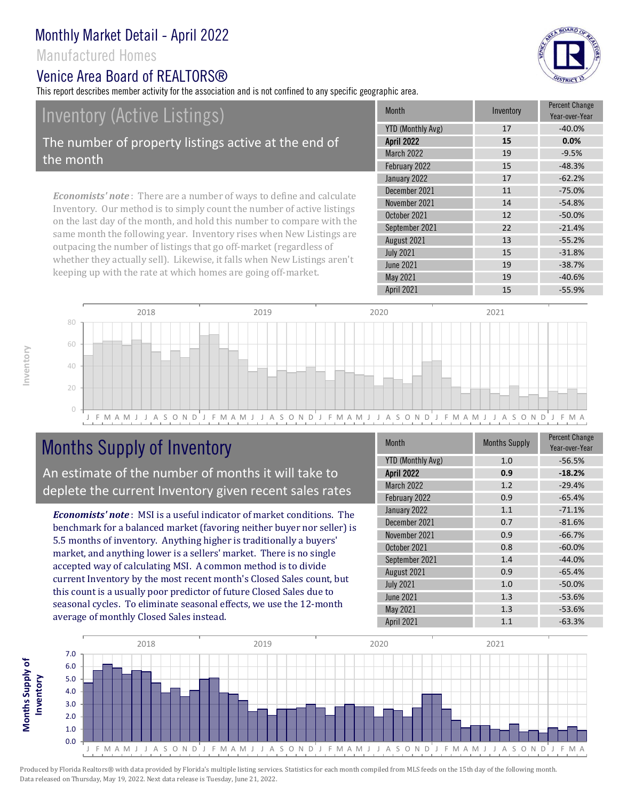#### Manufactured Homes

#### Venice Area Board of REALTORS®

This report describes member activity for the association and is not confined to any specific geographic area.

# Inventory (Active Listings)

The number of property listings active at the end of the month

*Economists' note* : There are a number of ways to define and calculate Inventory. Our method is to simply count the number of active listings on the last day of the month, and hold this number to compare with the same month the following year. Inventory rises when New Listings are outpacing the number of listings that go off-market (regardless of whether they actually sell). Likewise, it falls when New Listings aren't keeping up with the rate at which homes are going off-market.

| <b>Month</b>             | Inventory | <b>Percent Change</b><br>Year-over-Year |
|--------------------------|-----------|-----------------------------------------|
| <b>YTD (Monthly Avg)</b> | 17        | $-40.0%$                                |
| <b>April 2022</b>        | 15        | 0.0%                                    |
| <b>March 2022</b>        | 19        | $-9.5%$                                 |
| February 2022            | 15        | $-48.3%$                                |
| January 2022             | 17        | $-62.2%$                                |
| December 2021            | 11        | $-75.0%$                                |
| November 2021            | 14        | $-54.8%$                                |
| October 2021             | 12        | $-50.0%$                                |
| September 2021           | 22        | $-21.4%$                                |
| August 2021              | 13        | $-55.2%$                                |
| <b>July 2021</b>         | 15        | $-31.8%$                                |
| <b>June 2021</b>         | 19        | $-38.7%$                                |
| May 2021                 | 19        | $-40.6%$                                |
| April 2021               | 15        | $-55.9%$                                |
|                          |           |                                         |



# Months Supply of Inventory

An estimate of the number of months it will take to deplete the current Inventory given recent sales rates

*Economists' note* : MSI is a useful indicator of market conditions. The benchmark for a balanced market (favoring neither buyer nor seller) is 5.5 months of inventory. Anything higher is traditionally a buyers' market, and anything lower is a sellers' market. There is no single accepted way of calculating MSI. A common method is to divide current Inventory by the most recent month's Closed Sales count, but this count is a usually poor predictor of future Closed Sales due to seasonal cycles. To eliminate seasonal effects, we use the 12-month average of monthly Closed Sales instead.

| Month                    | <b>Months Supply</b> | <b>Percent Change</b><br>Year-over-Year |
|--------------------------|----------------------|-----------------------------------------|
| <b>YTD (Monthly Avg)</b> | 1.0                  | $-56.5%$                                |
| <b>April 2022</b>        | 0.9                  | $-18.2%$                                |
| March 2022               | 1.2                  | $-29.4%$                                |
| February 2022            | 0.9                  | $-65.4%$                                |
| January 2022             | 1.1                  | $-71.1%$                                |
| December 2021            | 0.7                  | $-81.6%$                                |
| November 2021            | 0.9                  | $-66.7%$                                |
| October 2021             | 0.8                  | $-60.0%$                                |
| September 2021           | 1.4                  | $-44.0%$                                |
| August 2021              | 0.9                  | $-65.4%$                                |
| <b>July 2021</b>         | 1.0                  | $-50.0%$                                |
| <b>June 2021</b>         | 1.3                  | $-53.6%$                                |
| May 2021                 | 1.3                  | $-53.6%$                                |
| April 2021               | 1.1                  | $-63.3%$                                |



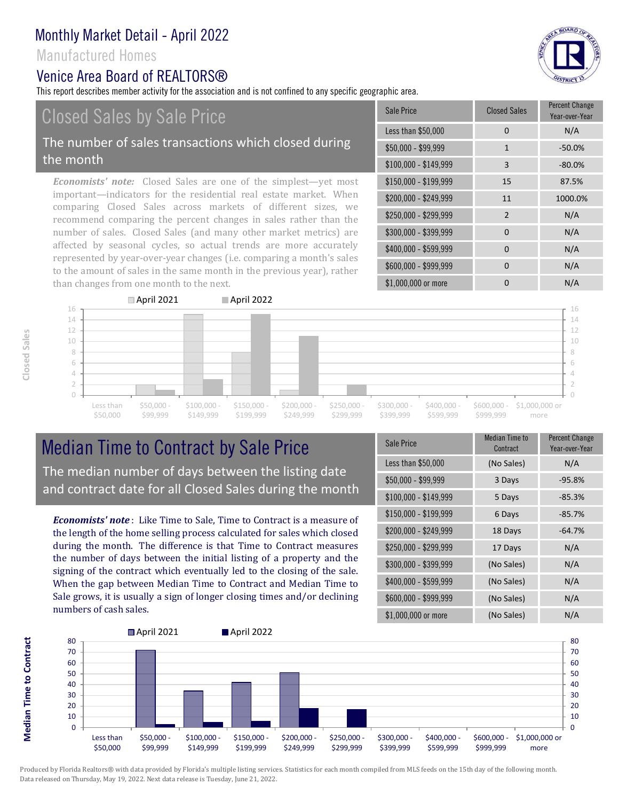#### Manufactured Homes

#### Venice Area Board of REALTORS®

This report describes member activity for the association and is not confined to any specific geographic area.

# Closed Sales by Sale Price

#### The number of sales transactions which closed during the month

*Economists' note:* Closed Sales are one of the simplest—yet most important—indicators for the residential real estate market. When comparing Closed Sales across markets of different sizes, we recommend comparing the percent changes in sales rather than the number of sales. Closed Sales (and many other market metrics) are affected by seasonal cycles, so actual trends are more accurately represented by year-over-year changes (i.e. comparing a month's sales to the amount of sales in the same month in the previous year), rather than changes from one month to the next.

| Sale Price            | <b>Closed Sales</b> | <b>Percent Change</b><br>Year-over-Year |
|-----------------------|---------------------|-----------------------------------------|
| Less than \$50,000    | 0                   | N/A                                     |
| \$50,000 - \$99,999   | $\mathbf{1}$        | $-50.0%$                                |
| $$100,000 - $149,999$ | 3                   | $-80.0%$                                |
| $$150,000 - $199,999$ | 15                  | 87.5%                                   |
| \$200,000 - \$249,999 | 11                  | 1000.0%                                 |
| \$250,000 - \$299,999 | $\overline{2}$      | N/A                                     |
| \$300,000 - \$399,999 | 0                   | N/A                                     |
| \$400,000 - \$599,999 | 0                   | N/A                                     |
| \$600,000 - \$999,999 | 0                   | N/A                                     |
| \$1,000,000 or more   | 0                   | N/A                                     |



## Median Time to Contract by Sale Price The median number of days between the listing date and contract date for all Closed Sales during the month

*Economists' note* : Like Time to Sale, Time to Contract is a measure of the length of the home selling process calculated for sales which closed during the month. The difference is that Time to Contract measures the number of days between the initial listing of a property and the signing of the contract which eventually led to the closing of the sale. When the gap between Median Time to Contract and Median Time to Sale grows, it is usually a sign of longer closing times and/or declining numbers of cash sales.

| Sale Price            | <b>Median Time to</b><br>Contract | <b>Percent Change</b><br>Year-over-Year |
|-----------------------|-----------------------------------|-----------------------------------------|
| Less than \$50,000    | (No Sales)                        | N/A                                     |
| \$50,000 - \$99,999   | 3 Days                            | $-95.8%$                                |
| $$100,000 - $149,999$ | 5 Days                            | $-85.3%$                                |
| $$150,000 - $199,999$ | 6 Days                            | $-85.7%$                                |
| \$200,000 - \$249,999 | 18 Days                           | $-64.7%$                                |
| \$250,000 - \$299,999 | 17 Days                           | N/A                                     |
| \$300,000 - \$399,999 | (No Sales)                        | N/A                                     |
| \$400,000 - \$599,999 | (No Sales)                        | N/A                                     |
| \$600,000 - \$999,999 | (No Sales)                        | N/A                                     |
| \$1,000,000 or more   | (No Sales)                        | N/A                                     |



Produced by Florida Realtors® with data provided by Florida's multiple listing services. Statistics for each month compiled from MLS feeds on the 15th day of the following month. Data released on Thursday, May 19, 2022. Next data release is Tuesday, June 21, 2022.

**Median Time to Contract Median Time to Contract**

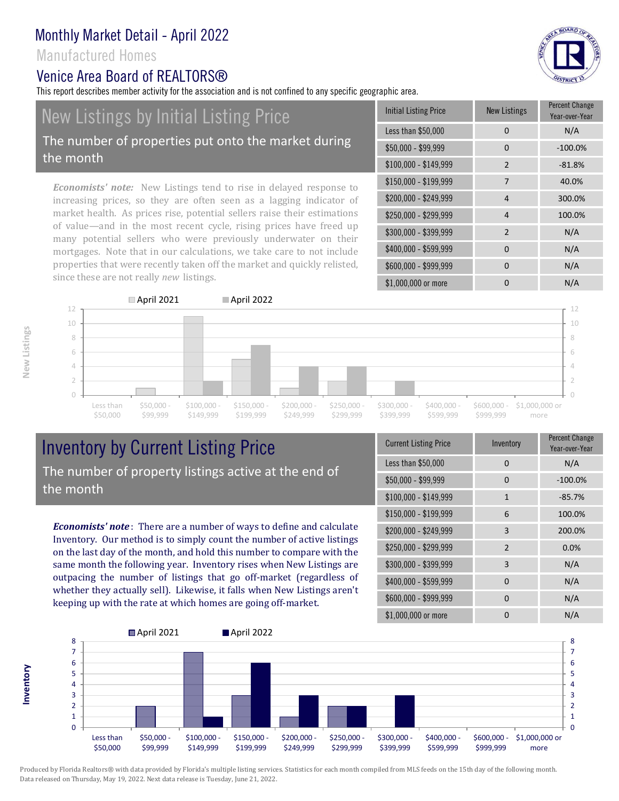#### Manufactured Homes

the month

#### Venice Area Board of RFAI TORS®

New Listings by Initial Listing Price

This report describes member activity for the association and is not confined to any specific geographic area.

# Initial Listing Price **New Listings** Percent Change Year-over-Year

*Economists' note:* New Listings tend to rise in delayed response to increasing prices, so they are often seen as a lagging indicator of market health. As prices rise, potential sellers raise their estimations of value—and in the most recent cycle, rising prices have freed up many potential sellers who were previously underwater on their mortgages. Note that in our calculations, we take care to not include properties that were recently taken off the market and quickly relisted, since these are not really *new* listings.

The number of properties put onto the market during

| Initial Listing Price | New Listings   | Year-over-Year |
|-----------------------|----------------|----------------|
| Less than \$50,000    | 0              | N/A            |
| $$50,000 - $99,999$   | 0              | $-100.0%$      |
| $$100,000 - $149,999$ | $\overline{2}$ | $-81.8%$       |
| \$150,000 - \$199,999 | 7              | 40.0%          |
| \$200,000 - \$249,999 | 4              | 300.0%         |
| \$250,000 - \$299,999 | 4              | 100.0%         |
| \$300,000 - \$399,999 | $\overline{2}$ | N/A            |
| \$400,000 - \$599,999 | 0              | N/A            |
| \$600,000 - \$999,999 | 0              | N/A            |
| \$1,000,000 or more   | 0              | N/A            |



## Inventory by Current Listing Price The number of property listings active at the end of the month

*Economists' note* : There are a number of ways to define and calculate Inventory. Our method is to simply count the number of active listings on the last day of the month, and hold this number to compare with the same month the following year. Inventory rises when New Listings are outpacing the number of listings that go off-market (regardless of whether they actually sell). Likewise, it falls when New Listings aren't keeping up with the rate at which homes are going off-market.

| <b>Current Listing Price</b> | Inventory      | Percent Change<br>Year-over-Year |
|------------------------------|----------------|----------------------------------|
| Less than \$50,000           | 0              | N/A                              |
| $$50,000 - $99,999$          | 0              | $-100.0%$                        |
| $$100,000 - $149,999$        | $\mathbf{1}$   | $-85.7%$                         |
| $$150,000 - $199,999$        | 6              | 100.0%                           |
| \$200,000 - \$249,999        | 3              | 200.0%                           |
| \$250,000 - \$299,999        | $\overline{2}$ | 0.0%                             |
| \$300,000 - \$399,999        | 3              | N/A                              |
| \$400,000 - \$599,999        | $\Omega$       | N/A                              |
| \$600,000 - \$999,999        | $\Omega$       | N/A                              |
| \$1,000,000 or more          | n              | N/A                              |



Produced by Florida Realtors® with data provided by Florida's multiple listing services. Statistics for each month compiled from MLS feeds on the 15th day of the following month. Data released on Thursday, May 19, 2022. Next data release is Tuesday, June 21, 2022.

**Inventory**